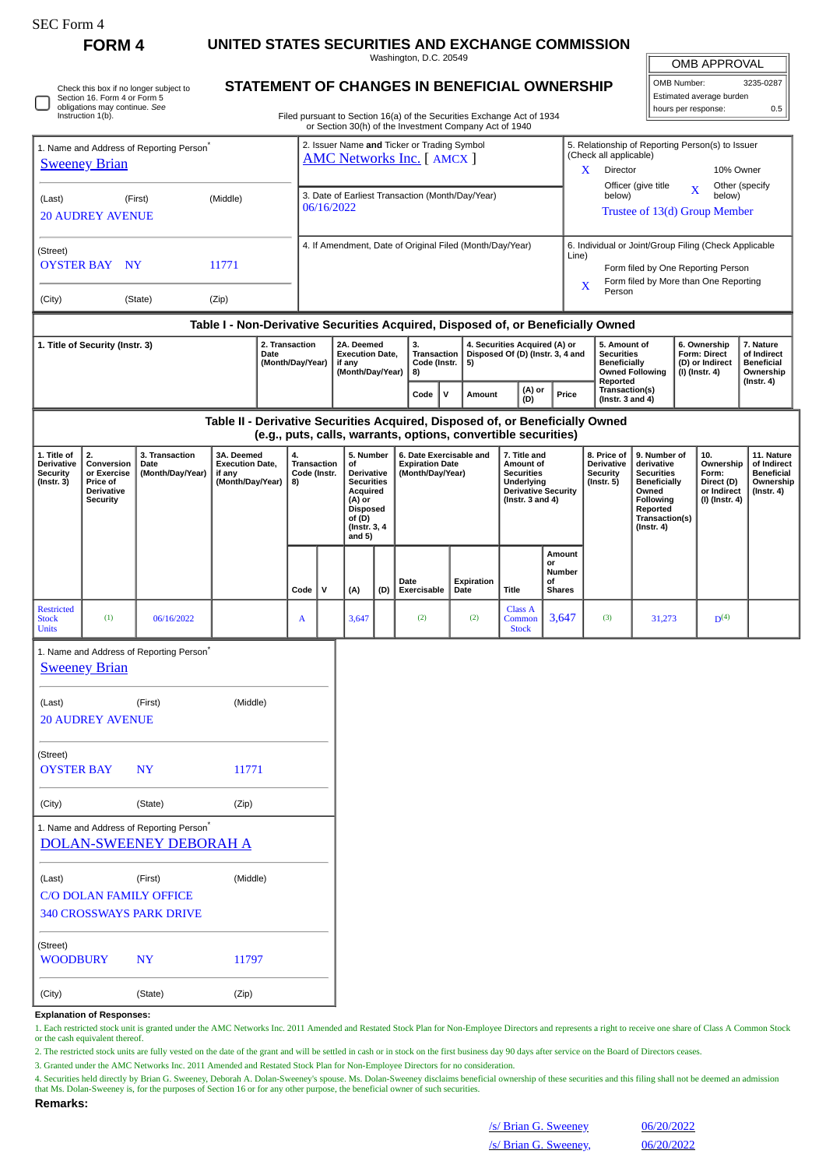**FORM 4 UNITED STATES SECURITIES AND EXCHANGE COMMISSION**

Washington, D.C. 20549

OMB APPROVAL OMB Number: 3235-0287 Estimated average burden

hours per response: 0.5

Check this box if no longer subject to Section 16. Form 4 or Form 5 obligations may continue. *See* Instruction 1(b).

## **STATEMENT OF CHANGES IN BENEFICIAL OWNERSHIP**

Filed pursuant to Section 16(a) of the Securities Exchange Act of 1934 or Section 30(h) of the Investment Company Act of 1940

| 1. Name and Address of Reporting Person <sup>7</sup><br><b>Sweeney Brian</b>                       |                                                                                                                                                 |                                                                                        |                                                                                  |  |                                                | 2. Issuer Name and Ticker or Trading Symbol<br><b>AMC Networks Inc.</b> [ AMCX ] |                                                                                                                                          |                                   |                     |                                                                         |                           |                                                                                                                |                                     | 5. Relationship of Reporting Person(s) to Issuer<br>(Check all applicable)<br>X<br>Director<br>10% Owner                                           |                                                                  |                                                                                                                                          |  |                                                                          |                                                                                 |  |
|----------------------------------------------------------------------------------------------------|-------------------------------------------------------------------------------------------------------------------------------------------------|----------------------------------------------------------------------------------------|----------------------------------------------------------------------------------|--|------------------------------------------------|----------------------------------------------------------------------------------|------------------------------------------------------------------------------------------------------------------------------------------|-----------------------------------|---------------------|-------------------------------------------------------------------------|---------------------------|----------------------------------------------------------------------------------------------------------------|-------------------------------------|----------------------------------------------------------------------------------------------------------------------------------------------------|------------------------------------------------------------------|------------------------------------------------------------------------------------------------------------------------------------------|--|--------------------------------------------------------------------------|---------------------------------------------------------------------------------|--|
| (Middle)<br>(Last)<br>(First)<br><b>20 AUDREY AVENUE</b>                                           |                                                                                                                                                 |                                                                                        |                                                                                  |  |                                                | 3. Date of Earliest Transaction (Month/Day/Year)<br>06/16/2022                   |                                                                                                                                          |                                   |                     |                                                                         |                           |                                                                                                                |                                     | Officer (give title<br>Other (specify<br>$\mathbf X$<br>below)<br>below)<br>Trustee of 13(d) Group Member                                          |                                                                  |                                                                                                                                          |  |                                                                          |                                                                                 |  |
| (Street)<br>11771<br><b>OYSTER BAY NY</b>                                                          |                                                                                                                                                 |                                                                                        |                                                                                  |  |                                                | 4. If Amendment, Date of Original Filed (Month/Day/Year)                         |                                                                                                                                          |                                   |                     |                                                                         |                           |                                                                                                                |                                     | 6. Individual or Joint/Group Filing (Check Applicable<br>Line)<br>Form filed by One Reporting Person<br>Form filed by More than One Reporting<br>X |                                                                  |                                                                                                                                          |  |                                                                          |                                                                                 |  |
| (City)<br>(State)<br>(Zip)                                                                         |                                                                                                                                                 |                                                                                        |                                                                                  |  |                                                |                                                                                  |                                                                                                                                          |                                   |                     |                                                                         |                           |                                                                                                                |                                     |                                                                                                                                                    | Person                                                           |                                                                                                                                          |  |                                                                          |                                                                                 |  |
|                                                                                                    |                                                                                                                                                 |                                                                                        | Table I - Non-Derivative Securities Acquired, Disposed of, or Beneficially Owned |  | 2. Transaction                                 |                                                                                  | 2A. Deemed                                                                                                                               |                                   | 3.                  |                                                                         |                           |                                                                                                                |                                     |                                                                                                                                                    | 5. Amount of                                                     |                                                                                                                                          |  | 6. Ownership                                                             | 7. Nature                                                                       |  |
| 1. Title of Security (Instr. 3)<br>Date<br>(Month/Day/Year)                                        |                                                                                                                                                 |                                                                                        |                                                                                  |  |                                                | <b>Execution Date,</b><br>if any<br>(Month/Day/Year)                             |                                                                                                                                          | Transaction<br>Code (Instr.<br>8) |                     | 4. Securities Acquired (A) or<br>Disposed Of (D) (Instr. 3, 4 and<br>5) |                           |                                                                                                                |                                     | <b>Securities</b><br><b>Beneficially</b><br><b>Owned Following</b><br>Reported                                                                     |                                                                  | <b>Form: Direct</b><br>(D) or Indirect<br>(I) (Instr. 4)                                                                                 |  | of Indirect<br><b>Beneficial</b><br>Ownership<br>$($ Instr. 4 $)$        |                                                                                 |  |
|                                                                                                    |                                                                                                                                                 |                                                                                        |                                                                                  |  |                                                |                                                                                  |                                                                                                                                          |                                   | Code                | v                                                                       | Amount                    | (A) or<br>(D)                                                                                                  |                                     | Price                                                                                                                                              |                                                                  | Transaction(s)<br>(Instr. $3$ and $4$ )                                                                                                  |  |                                                                          |                                                                                 |  |
|                                                                                                    | Table II - Derivative Securities Acquired, Disposed of, or Beneficially Owned<br>(e.g., puts, calls, warrants, options, convertible securities) |                                                                                        |                                                                                  |  |                                                |                                                                                  |                                                                                                                                          |                                   |                     |                                                                         |                           |                                                                                                                |                                     |                                                                                                                                                    |                                                                  |                                                                                                                                          |  |                                                                          |                                                                                 |  |
| 1. Title of<br><b>Derivative</b><br>Security<br>$($ Instr. 3 $)$                                   | 2.<br>Conversion<br>or Exercise<br>Price of<br>Derivative<br><b>Security</b>                                                                    | 3. Transaction<br>Date<br>(Month/Day/Year)                                             | 3A. Deemed<br><b>Execution Date,</b><br>if any<br>(Month/Day/Year)               |  | 4.<br><b>Transaction</b><br>Code (Instr.<br>8) |                                                                                  | 5. Number<br>of<br><b>Derivative</b><br><b>Securities</b><br>Acquired<br>(A) or<br><b>Disposed</b><br>of (D)<br>(Instr. 3, 4<br>and $5)$ |                                   |                     | 6. Date Exercisable and<br><b>Expiration Date</b><br>(Month/Day/Year)   |                           | 7. Title and<br>Amount of<br><b>Securities</b><br>Underlying<br><b>Derivative Security</b><br>(Instr. 3 and 4) |                                     |                                                                                                                                                    | 8. Price of<br>Derivative<br><b>Security</b><br>$($ Instr. 5 $)$ | 9. Number of<br>derivative<br><b>Securities</b><br><b>Beneficially</b><br>Owned<br>Following<br>Reported<br>Transaction(s)<br>(Instr. 4) |  | 10.<br>Ownership<br>Form:<br>Direct (D)<br>or Indirect<br>(I) (Instr. 4) | 11. Nature<br>of Indirect<br><b>Beneficial</b><br>Ownership<br>$($ Instr. 4 $)$ |  |
|                                                                                                    |                                                                                                                                                 |                                                                                        |                                                                                  |  | Code                                           | $\mathsf{v}$                                                                     | (A)                                                                                                                                      | (D)                               | Date<br>Exercisable |                                                                         | <b>Expiration</b><br>Date | <b>Title</b>                                                                                                   | or<br>Number<br>οf<br><b>Shares</b> | Amount                                                                                                                                             |                                                                  |                                                                                                                                          |  |                                                                          |                                                                                 |  |
| <b>Restricted</b><br><b>Stock</b><br><b>Units</b>                                                  | (1)                                                                                                                                             | 06/16/2022                                                                             |                                                                                  |  | A                                              |                                                                                  | 3,647                                                                                                                                    |                                   | (2)                 |                                                                         | (2)                       | <b>Class A</b><br>Common<br><b>Stock</b>                                                                       | 3,647                               |                                                                                                                                                    | (3)                                                              | 31,273                                                                                                                                   |  | D <sup>(4)</sup>                                                         |                                                                                 |  |
| 1. Name and Address of Reporting Person <sup>7</sup><br><b>Sweeney Brian</b>                       |                                                                                                                                                 |                                                                                        |                                                                                  |  |                                                |                                                                                  |                                                                                                                                          |                                   |                     |                                                                         |                           |                                                                                                                |                                     |                                                                                                                                                    |                                                                  |                                                                                                                                          |  |                                                                          |                                                                                 |  |
| (Middle)<br>(Last)<br>(First)<br><b>20 AUDREY AVENUE</b>                                           |                                                                                                                                                 |                                                                                        |                                                                                  |  |                                                |                                                                                  |                                                                                                                                          |                                   |                     |                                                                         |                           |                                                                                                                |                                     |                                                                                                                                                    |                                                                  |                                                                                                                                          |  |                                                                          |                                                                                 |  |
| (Street)<br><b>OYSTER BAY</b><br><b>NY</b><br>11771                                                |                                                                                                                                                 |                                                                                        |                                                                                  |  |                                                |                                                                                  |                                                                                                                                          |                                   |                     |                                                                         |                           |                                                                                                                |                                     |                                                                                                                                                    |                                                                  |                                                                                                                                          |  |                                                                          |                                                                                 |  |
| (City)                                                                                             |                                                                                                                                                 | (State)<br>(Zip)                                                                       |                                                                                  |  |                                                |                                                                                  |                                                                                                                                          |                                   |                     |                                                                         |                           |                                                                                                                |                                     |                                                                                                                                                    |                                                                  |                                                                                                                                          |  |                                                                          |                                                                                 |  |
|                                                                                                    |                                                                                                                                                 | 1. Name and Address of Reporting Person <sup>*</sup><br><b>DOLAN-SWEENEY DEBORAH A</b> |                                                                                  |  |                                                |                                                                                  |                                                                                                                                          |                                   |                     |                                                                         |                           |                                                                                                                |                                     |                                                                                                                                                    |                                                                  |                                                                                                                                          |  |                                                                          |                                                                                 |  |
| (Middle)<br>(First)<br>(Last)<br><b>C/O DOLAN FAMILY OFFICE</b><br><b>340 CROSSWAYS PARK DRIVE</b> |                                                                                                                                                 |                                                                                        |                                                                                  |  |                                                |                                                                                  |                                                                                                                                          |                                   |                     |                                                                         |                           |                                                                                                                |                                     |                                                                                                                                                    |                                                                  |                                                                                                                                          |  |                                                                          |                                                                                 |  |
| (Street)                                                                                           |                                                                                                                                                 |                                                                                        |                                                                                  |  |                                                |                                                                                  |                                                                                                                                          |                                   |                     |                                                                         |                           |                                                                                                                |                                     |                                                                                                                                                    |                                                                  |                                                                                                                                          |  |                                                                          |                                                                                 |  |

**Explanation of Responses:**

WOODBURY NY 11797

(City) (State) (Zip)

1. Each restricted stock unit is granted under the AMC Networks Inc. 2011 Amended and Restated Stock Plan for Non-Employee Directors and represents a right to receive one share of Class A Common Stock or the cash equivalent thereof.

2. The restricted stock units are fully vested on the date of the grant and will be settled in cash or in stock on the first business day 90 days after service on the Board of Directors ceases.

3. Granted under the AMC Networks Inc. 2011 Amended and Restated Stock Plan for Non-Employee Directors for no consideration.

4. Securities held directly by Brian G. Sweeney, Deborah A. Dolan-Sweeney's spouse. Ms. Dolan-Sweeney disclaims beneficial ownership of these securities and this filing shall not be deemed an admission that Ms. Dolan-Sweeney is, for the purposes of Section 16 or for any other purpose, the beneficial owner of such securities.

**Remarks:**